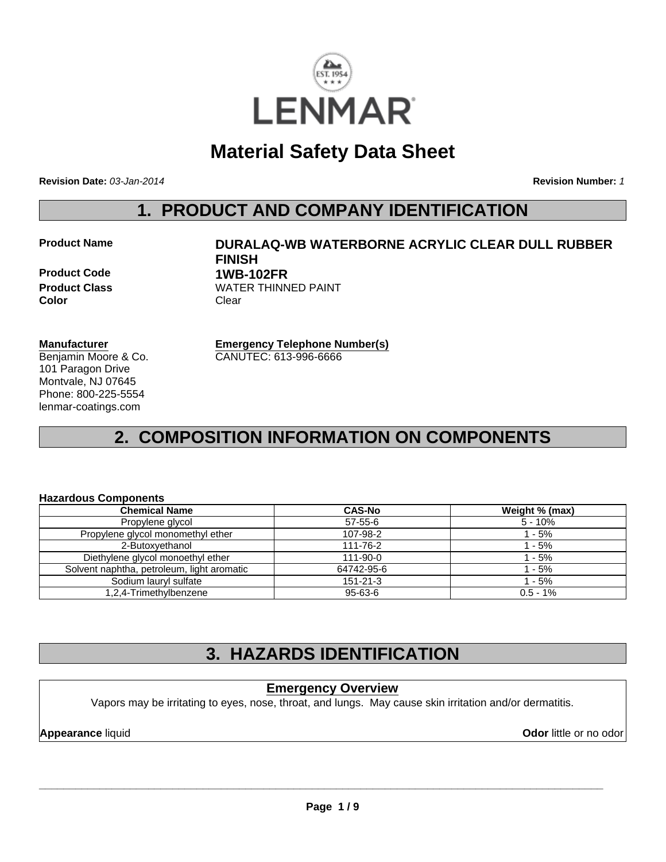

# **Material Safety Data Sheet**

**Revision Date:** *03-Jan-2014*

**Revision Number:** *1*

### **1. PRODUCT AND COMPANY IDENTIFICATION**

#### **Product Name DURALAQ-WB WATERBORNE ACRYLIC CLEAR DULL RUBBER FINISH Product Code 1WB-102FR Product Class WATER THINNED PAINT**

**Color** Clear

**Emergency Telephone Number(s)**

CANUTEC: 613-996-6666

#### **Manufacturer**

Benjamin Moore & Co. 101 Paragon Drive Montvale, NJ 07645 Phone: 800-225-5554 lenmar-coatings.com

# **2. COMPOSITION INFORMATION ON COMPONENTS**

#### **Hazardous Components**

| <b>Chemical Name</b>                       | <b>CAS-No</b>  | Weight % (max) |
|--------------------------------------------|----------------|----------------|
| Propylene glycol                           | $57-55-6$      | $5 - 10%$      |
| Propylene glycol monomethyl ether          | 107-98-2       | $1 - 5%$       |
| 2-Butoxyethanol                            | 111-76-2       | $1 - 5%$       |
| Diethylene glycol monoethyl ether          | $111 - 90 - 0$ | 1 - 5%         |
| Solvent naphtha, petroleum, light aromatic | 64742-95-6     | 1 - 5%         |
| Sodium lauryl sulfate                      | $151 - 21 - 3$ | 1 - 5%         |
| 1,2,4-Trimethylbenzene                     | 95-63-6        | $0.5 - 1\%$    |

# **3. HAZARDS IDENTIFICATION**

### **Emergency Overview**

Vapors may be irritating to eyes, nose, throat, and lungs. May cause skin irritation and/or dermatitis.

**Appearance liquid Odor in the original of the contract of the contract of the contract of the contract of the contract of the contract of the contract of the contract of the contract of the contract of the contract of t**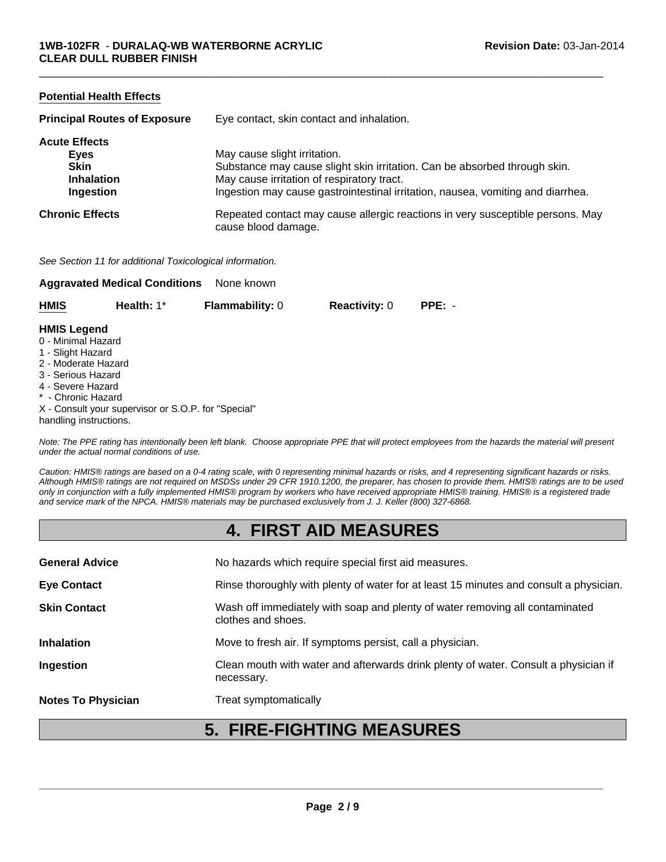#### **Potential Health Effects**

| <b>Principal Routes of Exposure</b> | Eye contact, skin contact and inhalation.                                                             |  |
|-------------------------------------|-------------------------------------------------------------------------------------------------------|--|
| <b>Acute Effects</b>                |                                                                                                       |  |
| Eyes                                | May cause slight irritation.                                                                          |  |
| <b>Skin</b>                         | Substance may cause slight skin irritation. Can be absorbed through skin.                             |  |
| <b>Inhalation</b>                   | May cause irritation of respiratory tract.                                                            |  |
| Ingestion                           | Ingestion may cause gastrointestinal irritation, nausea, vomiting and diarrhea.                       |  |
| <b>Chronic Effects</b>              | Repeated contact may cause allergic reactions in very susceptible persons. May<br>cause blood damage. |  |

 $\Box$ 

*See Section 11 for additional Toxicological information.*

|                    | <b>Aggravated Medical Conditions</b> | None known             |                      |          |
|--------------------|--------------------------------------|------------------------|----------------------|----------|
| <b>HMIS</b>        | Health: $1^*$                        | <b>Flammability: 0</b> | <b>Reactivity: 0</b> | $PPE: -$ |
| <b>HMIS Legend</b> |                                      |                        |                      |          |
| 0 - Minimal Hazard |                                      |                        |                      |          |
| 1 - Slight Hazard  |                                      |                        |                      |          |

- 2 Moderate Hazard
- 3 Serious Hazard
- 4 Severe Hazard
- \* Chronic Hazard
- X Consult your supervisor or S.O.P. for "Special"
- handling instructions.

*Note: The PPE rating has intentionally been left blank. Choose appropriate PPE that will protect employees from the hazards the material will present under the actual normal conditions of use.*

*Caution: HMIS® ratings are based on a 0-4 rating scale, with 0 representing minimal hazards or risks, and 4 representing significant hazards or risks. Although HMIS® ratings are not required on MSDSs under 29 CFR 1910.1200, the preparer, has chosen to provide them. HMIS® ratings are to be used only in conjunction with a fully implemented HMIS® program by workers who have received appropriate HMIS® training. HMIS® is a registered trade and service mark of the NPCA. HMIS® materials may be purchased exclusively from J. J. Keller (800) 327-6868.*

### **4. FIRST AID MEASURES**

| <b>Notes To Physician</b> | Treat symptomatically                                                                              |
|---------------------------|----------------------------------------------------------------------------------------------------|
| Ingestion                 | Clean mouth with water and afterwards drink plenty of water. Consult a physician if<br>necessary.  |
| <b>Inhalation</b>         | Move to fresh air. If symptoms persist, call a physician.                                          |
| <b>Skin Contact</b>       | Wash off immediately with soap and plenty of water removing all contaminated<br>clothes and shoes. |
| <b>Eye Contact</b>        | Rinse thoroughly with plenty of water for at least 15 minutes and consult a physician.             |
| <b>General Advice</b>     | No hazards which require special first aid measures.                                               |
|                           |                                                                                                    |

### **5. FIRE-FIGHTING MEASURES**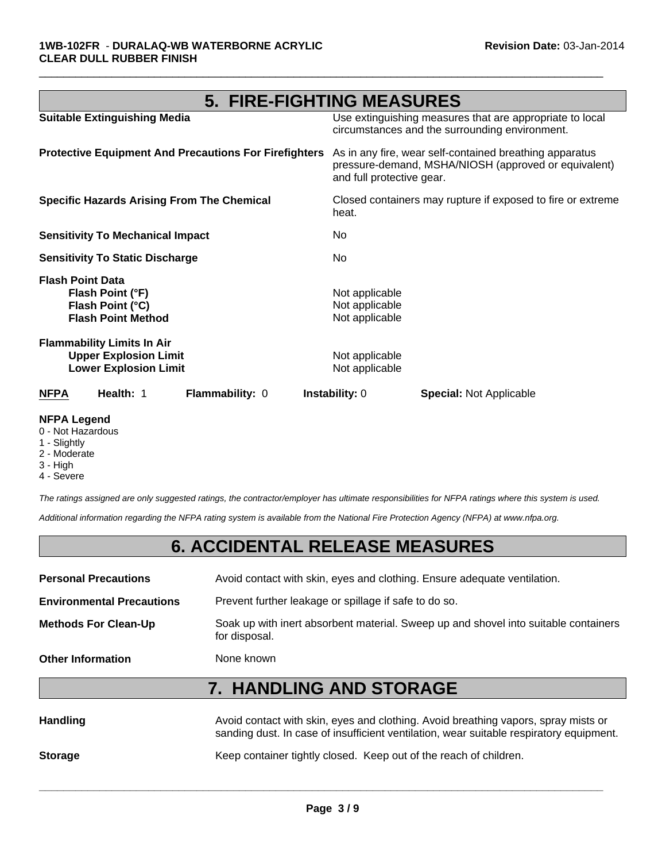| <b>5. FIRE-FIGHTING MEASURES</b>                                                                  |                                                                                                                                              |  |
|---------------------------------------------------------------------------------------------------|----------------------------------------------------------------------------------------------------------------------------------------------|--|
| <b>Suitable Extinguishing Media</b>                                                               | Use extinguishing measures that are appropriate to local<br>circumstances and the surrounding environment.                                   |  |
| <b>Protective Equipment And Precautions For Firefighters</b>                                      | As in any fire, wear self-contained breathing apparatus<br>pressure-demand, MSHA/NIOSH (approved or equivalent)<br>and full protective gear. |  |
| <b>Specific Hazards Arising From The Chemical</b>                                                 | Closed containers may rupture if exposed to fire or extreme<br>heat.                                                                         |  |
| <b>Sensitivity To Mechanical Impact</b>                                                           | No.                                                                                                                                          |  |
| <b>Sensitivity To Static Discharge</b>                                                            | No                                                                                                                                           |  |
| <b>Flash Point Data</b><br>Flash Point (°F)<br>Flash Point (°C)<br><b>Flash Point Method</b>      | Not applicable<br>Not applicable<br>Not applicable                                                                                           |  |
| <b>Flammability Limits In Air</b><br><b>Upper Explosion Limit</b><br><b>Lower Explosion Limit</b> | Not applicable<br>Not applicable                                                                                                             |  |
| Health: 1<br><b>Flammability: 0</b><br><b>NFPA</b>                                                | <b>Instability:</b> 0<br><b>Special:</b> Not Applicable                                                                                      |  |

 $\Box$ 

#### **NFPA Legend**

- 0 Not Hazardous
- 1 Slightly
- 2 Moderate
- 3 High
- 4 Severe

*The ratings assigned are only suggested ratings, the contractor/employer has ultimate responsibilities for NFPA ratings where this system is used.*

*Additional information regarding the NFPA rating system is available from the National Fire Protection Agency (NFPA) at www.nfpa.org.*

# **6. ACCIDENTAL RELEASE MEASURES**

| <b>Personal Precautions</b>      | Avoid contact with skin, eyes and clothing. Ensure adequate ventilation.                             |
|----------------------------------|------------------------------------------------------------------------------------------------------|
| <b>Environmental Precautions</b> | Prevent further leakage or spillage if safe to do so.                                                |
| <b>Methods For Clean-Up</b>      | Soak up with inert absorbent material. Sweep up and shovel into suitable containers<br>for disposal. |
| <b>Other Information</b>         | None known                                                                                           |

# **7. HANDLING AND STORAGE**

| <b>Handling</b> | Avoid contact with skin, eyes and clothing. Avoid breathing vapors, spray mists or<br>sanding dust. In case of insufficient ventilation, wear suitable respiratory equipment. |
|-----------------|-------------------------------------------------------------------------------------------------------------------------------------------------------------------------------|
| <b>Storage</b>  | Keep container tightly closed. Keep out of the reach of children.                                                                                                             |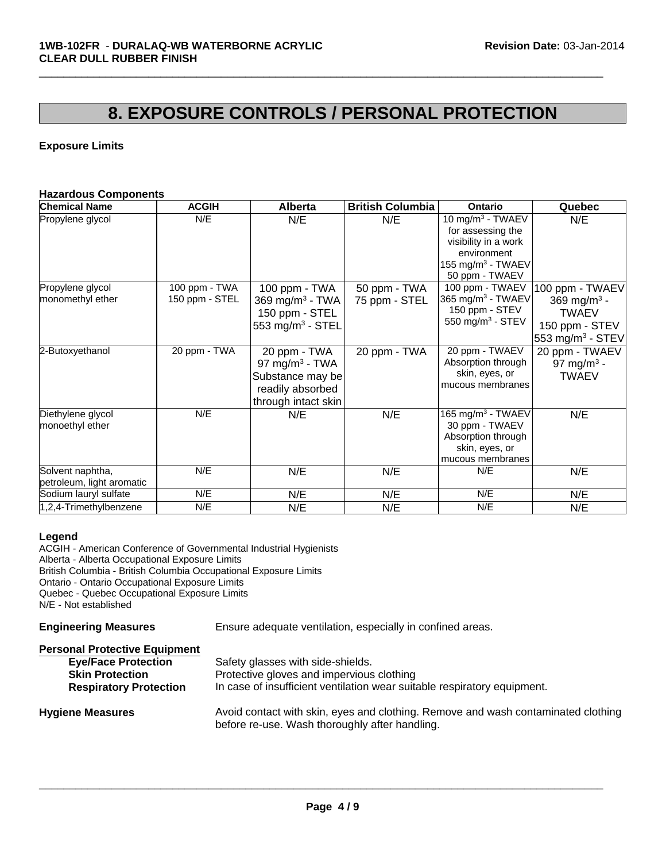# **8. EXPOSURE CONTROLS / PERSONAL PROTECTION**

 $\Box$ 

#### **Exposure Limits**

#### **Hazardous Components**

| <b>Chemical Name</b>                          | <b>ACGIH</b>         | <b>Alberta</b>                                                                                            | <b>British Columbia</b> | <b>Ontario</b>                                                                                                                               | Quebec                                                                                    |
|-----------------------------------------------|----------------------|-----------------------------------------------------------------------------------------------------------|-------------------------|----------------------------------------------------------------------------------------------------------------------------------------------|-------------------------------------------------------------------------------------------|
| Propylene glycol<br>Propylene glycol          | N/E<br>100 ppm - TWA | N/E<br>100 ppm - TWA                                                                                      | N/E<br>50 ppm - TWA     | 10 mg/m $3$ - TWAEV<br>for assessing the<br>visibility in a work<br>environment<br>155 mg/m $3$ - TWAEV<br>50 ppm - TWAEV<br>100 ppm - TWAEV | N/E<br>100 ppm - TWAEV                                                                    |
| monomethyl ether                              | 150 ppm - STEL       | 369 mg/m <sup>3</sup> - TWA<br>150 ppm - STEL<br>553 mg/m <sup>3</sup> - STEL                             | 75 ppm - STEL           | 365 mg/m <sup>3</sup> - TWAEV<br>150 ppm - STEV<br>550 mg/m $3$ - STEV                                                                       | 369 mg/m <sup>3</sup> -<br><b>TWAEV</b><br>150 ppm - STEV<br>553 mg/m <sup>3</sup> - STEV |
| 2-Butoxyethanol                               | 20 ppm - TWA         | 20 ppm - TWA<br>97 mg/m <sup>3</sup> - TWA<br>Substance may be<br>readily absorbed<br>through intact skin | 20 ppm - TWA            | 20 ppm - TWAEV<br>Absorption through<br>skin, eyes, or<br>mucous membranes                                                                   | 20 ppm - TWAEV<br>97 mg/m <sup>3</sup> -<br><b>TWAEV</b>                                  |
| Diethylene glycol<br>monoethyl ether          | N/E                  | N/E                                                                                                       | N/E                     | $165$ mg/m <sup>3</sup> - TWAEV<br>30 ppm - TWAEV<br>Absorption through<br>skin, eyes, or<br>mucous membranes                                | N/E                                                                                       |
| Solvent naphtha,<br>petroleum, light aromatic | N/E                  | N/E                                                                                                       | N/E                     | N/E                                                                                                                                          | N/E                                                                                       |
| Sodium lauryl sulfate                         | N/E                  | N/E                                                                                                       | N/E                     | N/E                                                                                                                                          | N/E                                                                                       |
| 1,2,4-Trimethylbenzene                        | N/E                  | N/E                                                                                                       | N/E                     | N/E                                                                                                                                          | N/E                                                                                       |

#### **Legend**

ACGIH - American Conference of Governmental Industrial Hygienists Alberta - Alberta Occupational Exposure Limits British Columbia - British Columbia Occupational Exposure Limits Ontario - Ontario Occupational Exposure Limits Quebec - Quebec Occupational Exposure Limits N/E - Not established

**Engineering Measures** Ensure adequate ventilation, especially in confined areas.

| <b>Personal Protective Equipment</b> |                                                                                                                                     |
|--------------------------------------|-------------------------------------------------------------------------------------------------------------------------------------|
| <b>Eye/Face Protection</b>           | Safety glasses with side-shields.                                                                                                   |
| <b>Skin Protection</b>               | Protective gloves and impervious clothing                                                                                           |
| <b>Respiratory Protection</b>        | In case of insufficient ventilation wear suitable respiratory equipment.                                                            |
| <b>Hygiene Measures</b>              | Avoid contact with skin, eyes and clothing. Remove and wash contaminated clothing<br>before re-use. Wash thoroughly after handling. |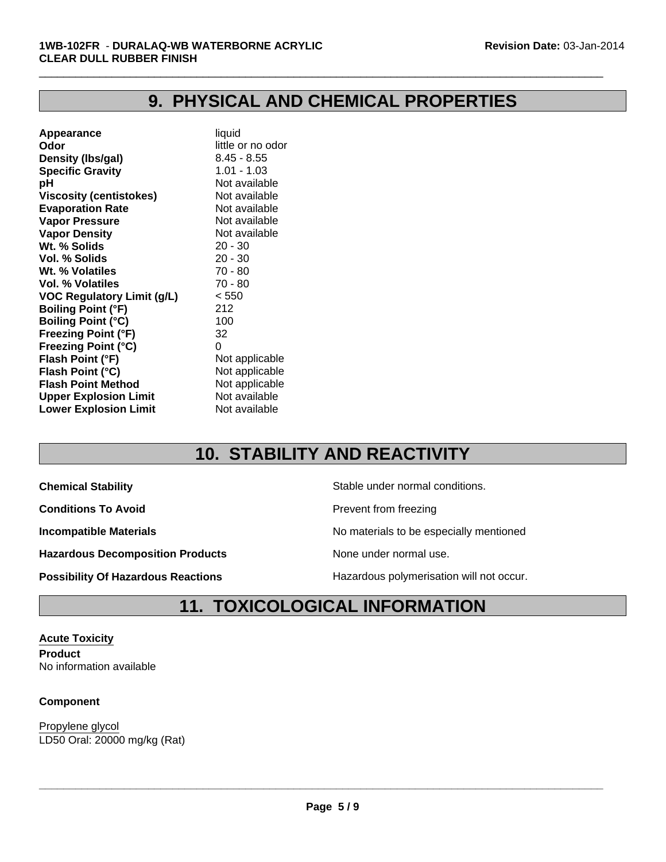# **9. PHYSICAL AND CHEMICAL PROPERTIES**

 $\Box$ 

| Appearance                        | liquid            |
|-----------------------------------|-------------------|
| Odor                              | little or no odor |
| Density (Ibs/gal)                 | $8.45 - 8.55$     |
| <b>Specific Gravity</b>           | $1.01 - 1.03$     |
| рH                                | Not available     |
| <b>Viscosity (centistokes)</b>    | Not available     |
| <b>Evaporation Rate</b>           | Not available     |
| <b>Vapor Pressure</b>             | Not available     |
| <b>Vapor Density</b>              | Not available     |
| Wt. % Solids                      | $20 - 30$         |
| Vol. % Solids                     | $20 - 30$         |
| Wt. % Volatiles                   | $70 - 80$         |
| Vol. % Volatiles                  | 70 - 80           |
| <b>VOC Regulatory Limit (g/L)</b> | < 550             |
| <b>Boiling Point (°F)</b>         | 212               |
| <b>Boiling Point (°C)</b>         | 100               |
| <b>Freezing Point (°F)</b>        | 32                |
| <b>Freezing Point (°C)</b>        | 0                 |
| Flash Point (°F)                  | Not applicable    |
| Flash Point (°C)                  | Not applicable    |
| <b>Flash Point Method</b>         | Not applicable    |
| <b>Upper Explosion Limit</b>      | Not available     |
| <b>Lower Explosion Limit</b>      | Not available     |
|                                   |                   |

# **10. STABILITY AND REACTIVITY**

**Conditions To Avoid Prevent from freezing** 

Hazardous Decomposition Products **None under normal use**.

**Chemical Stability Chemical Stability** Stable under normal conditions.

**Incompatible Materials No materials** No materials to be especially mentioned

**Possibility Of Hazardous Reactions The Constant Hazardous polymerisation will not occur.** 

# **11. TOXICOLOGICAL INFORMATION**

**Acute Toxicity Product** No information available

#### **Component**

LD50 Oral: 20000 mg/kg (Rat) Propylene glycol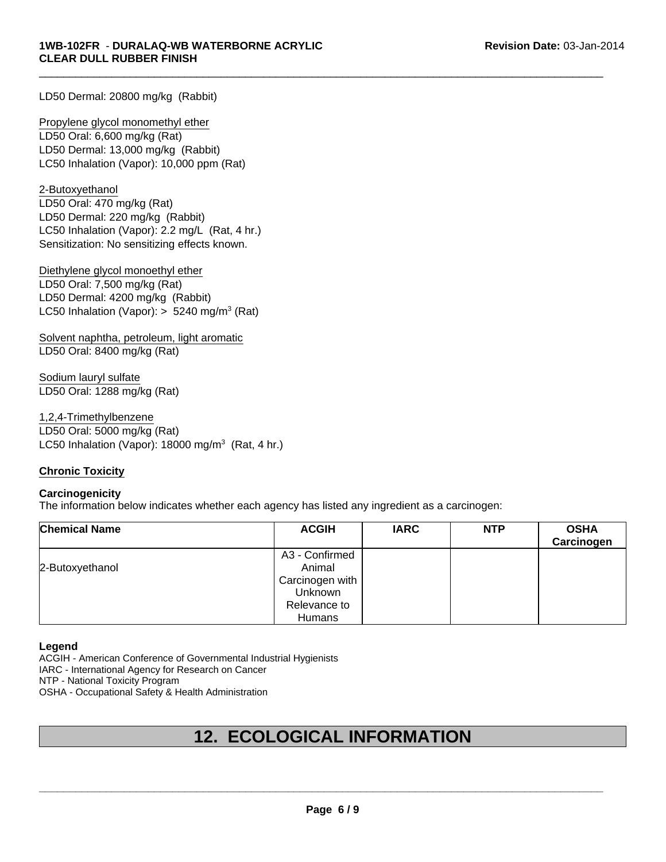LD50 Dermal: 20800 mg/kg (Rabbit)

LD50 Dermal: 13,000 mg/kg (Rabbit) LC50 Inhalation (Vapor): 10,000 ppm (Rat) Propylene glycol monomethyl ether LD50 Oral: 6,600 mg/kg (Rat)

Sensitization: No sensitizing effects known. 2-Butoxyethanol LD50 Oral: 470 mg/kg (Rat) LD50 Dermal: 220 mg/kg (Rabbit) LC50 Inhalation (Vapor): 2.2 mg/L (Rat, 4 hr.)

Diethylene glycol monoethyl ether LD50 Oral: 7,500 mg/kg (Rat) LD50 Dermal: 4200 mg/kg (Rabbit) LC50 Inhalation (Vapor):  $> 5240$  mg/m<sup>3</sup> (Rat)

Solvent naphtha, petroleum, light aromatic LD50 Oral: 8400 mg/kg (Rat)

Sodium lauryl sulfate LD50 Oral: 1288 mg/kg (Rat)

LC50 Inhalation (Vapor):  $18000 \text{ mg/m}^3$  (Rat, 4 hr.) 1,2,4-Trimethylbenzene LD50 Oral: 5000 mg/kg (Rat)

#### **Chronic Toxicity**

#### **Carcinogenicity**

The information below indicates whether each agency has listed any ingredient as a carcinogen:

| <b>Chemical Name</b> | <b>ACGIH</b>    | <b>IARC</b> | <b>NTP</b> | <b>OSHA</b><br>Carcinogen |
|----------------------|-----------------|-------------|------------|---------------------------|
|                      | A3 - Confirmed  |             |            |                           |
| 2-Butoxyethanol      | Animal          |             |            |                           |
|                      | Carcinogen with |             |            |                           |
|                      | <b>Unknown</b>  |             |            |                           |
|                      | Relevance to    |             |            |                           |
|                      | Humans          |             |            |                           |

 $\Box$ 

#### **Legend**

ACGIH - American Conference of Governmental Industrial Hygienists

IARC - International Agency for Research on Cancer

NTP - National Toxicity Program

OSHA - Occupational Safety & Health Administration

# **12. ECOLOGICAL INFORMATION**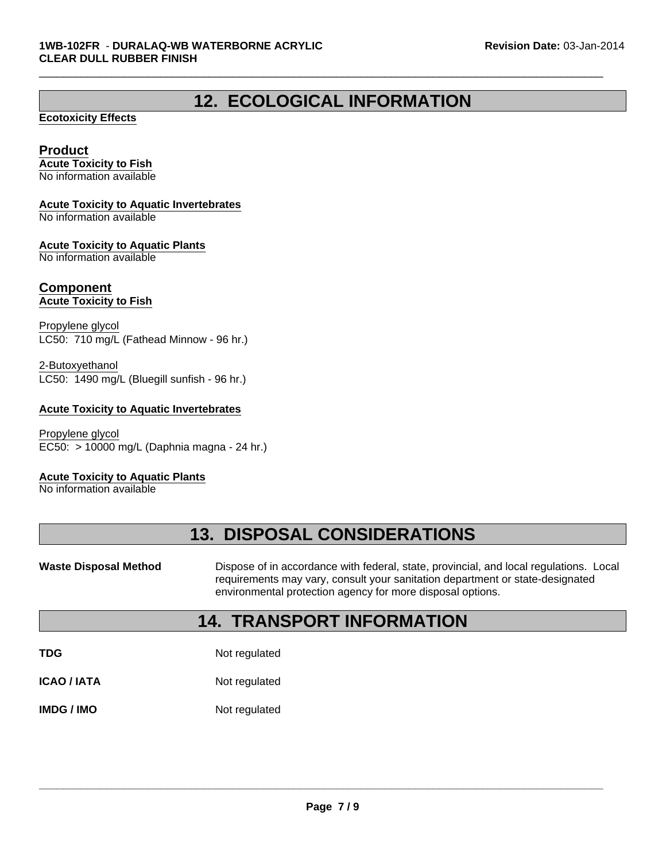# **12. ECOLOGICAL INFORMATION**

 $\Box$ 

#### **Ecotoxicity Effects**

#### **Product**

**Acute Toxicity to Fish** No information available

#### **Acute Toxicity to Aquatic Invertebrates**

No information available

#### **Acute Toxicity to Aquatic Plants**

No information available

#### **Component Acute Toxicity to Fish**

Propylene glycol LC50: 710 mg/L (Fathead Minnow - 96 hr.)

LC50: 1490 mg/L (Bluegill sunfish - 96 hr.) 2-Butoxyethanol

#### **Acute Toxicity to Aquatic Invertebrates**

EC50: > 10000 mg/L (Daphnia magna - 24 hr.) Propylene glycol

#### **Acute Toxicity to Aquatic Plants**

No information available

# **13. DISPOSAL CONSIDERATIONS**

Waste Disposal Method **Dispose of in accordance with federal, state, provincial, and local regulations. Local** requirements may vary, consult your sanitation department or state-designated environmental protection agency for more disposal options.

### **14. TRANSPORT INFORMATION**

**TDG** Not regulated

**ICAO / IATA** Not regulated

**IMDG / IMO** Not regulated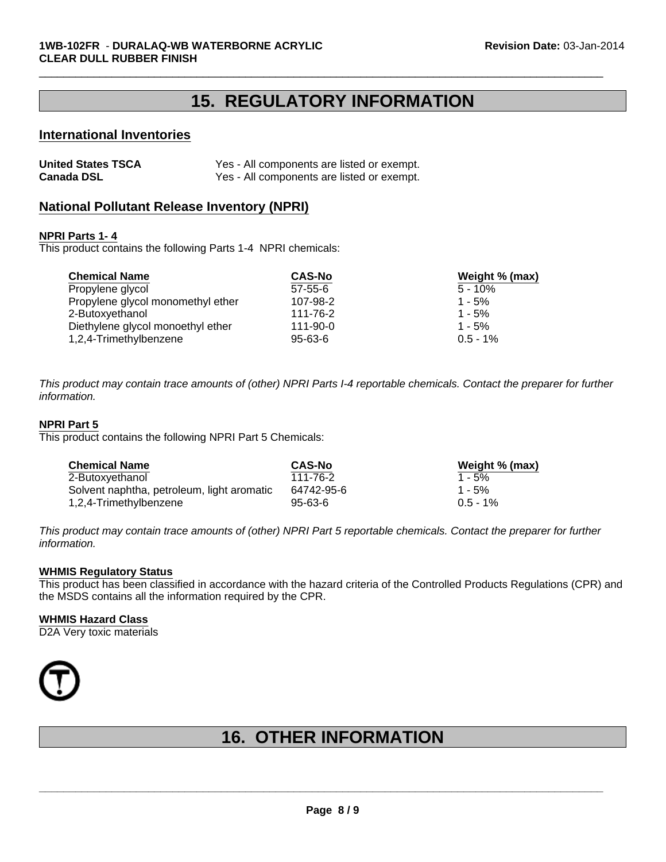### **15. REGULATORY INFORMATION**

 $\Box$ 

#### **International Inventories**

| <b>United States TSCA</b> | Yes - All components are listed or exempt. |
|---------------------------|--------------------------------------------|
| <b>Canada DSL</b>         | Yes - All components are listed or exempt. |

#### **National Pollutant Release Inventory (NPRI)**

#### **NPRI Parts 1- 4**

This product contains the following Parts 1-4 NPRI chemicals:

| <b>Chemical Name</b>              | <b>CAS-No</b>  | Weight % (max) |
|-----------------------------------|----------------|----------------|
| Propylene glycol                  | $57 - 55 - 6$  | $5 - 10\%$     |
| Propylene glycol monomethyl ether | 107-98-2       | $1 - 5%$       |
| 2-Butoxyethanol                   | 111-76-2       | $1 - 5%$       |
| Diethylene glycol monoethyl ether | $111 - 90 - 0$ | $1 - 5%$       |
| 1,2,4-Trimethylbenzene            | $95 - 63 - 6$  | $0.5 - 1\%$    |

*This product may contain trace amounts of (other) NPRI Parts I-4 reportable chemicals. Contact the preparer for further information.*

#### **NPRI Part 5**

This product contains the following NPRI Part 5 Chemicals:

| <b>Chemical Name</b>                       | <b>CAS-No</b> | Weight % (max) |
|--------------------------------------------|---------------|----------------|
| 2-Butoxyethanol                            | 111-76-2      | $1 - 5%$       |
| Solvent naphtha, petroleum, light aromatic | 64742-95-6    | $1 - 5%$       |
| 1,2,4-Trimethylbenzene                     | $95 - 63 - 6$ | $0.5 - 1%$     |

*This product may contain trace amounts of (other) NPRI Part 5 reportable chemicals. Contact the preparer for further information.*

#### **WHMIS Regulatory Status**

This product has been classified in accordance with the hazard criteria of the Controlled Products Regulations (CPR) and the MSDS contains all the information required by the CPR.

#### **WHMIS Hazard Class**

D2A Very toxic materials



# **16. OTHER INFORMATION**